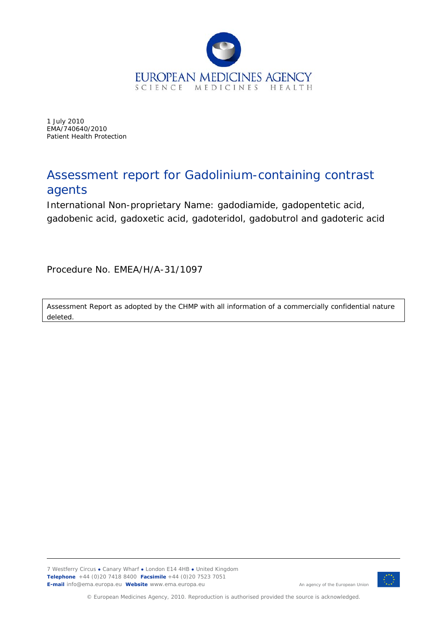

1 July 2010 EMA/740640/2010 Patient Health Protection

# Assessment report for Gadolinium-containing contrast agents

International Non-proprietary Name: gadodiamide, gadopentetic acid, gadobenic acid, gadoxetic acid, gadoteridol, gadobutrol and gadoteric acid

Procedure No. EMEA/H/A-31/1097

Assessment Report as adopted by the CHMP with all information of a commercially confidential nature deleted.

7 Westferry Circus **●** Canary Wharf **●** London E14 4HB **●** United Kingdom **Telephone** +44 (0)20 7418 8400 **Facsimile** +44 (0)20 7523 7051 **E-mail** info@ema.europa.eu Website www.ema.europa.eu An agency of the European Union



© European Medicines Agency, 2010. Reproduction is authorised provided the source is acknowledged.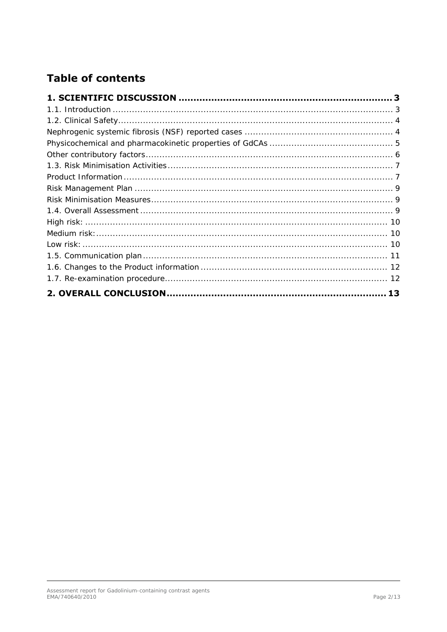# **Table of contents**

| 13 |
|----|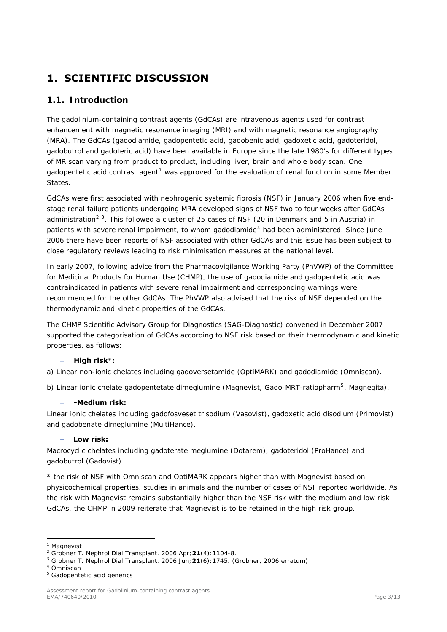# <span id="page-2-0"></span>**1. SCIENTIFIC DISCUSSION**

# *1.1. Introduction*

<span id="page-2-1"></span>The gadolinium-containing contrast agents (GdCAs) are intravenous agents used for contrast enhancement with magnetic resonance imaging (MRI) and with magnetic resonance angiography (MRA). The GdCAs (gadodiamide, gadopentetic acid, gadobenic acid, gadoxetic acid, gadoteridol, gadobutrol and gadoteric acid) have been available in Europe since the late 1980's for different types of MR scan varying from product to product, including liver, brain and whole body scan. One gadopentetic acid contrast agent<sup>[1](#page-2-2)</sup> was approved for the evaluation of renal function in some Member States.

<span id="page-2-7"></span>GdCAs were first associated with nephrogenic systemic fibrosis (NSF) in January 2006 when five endstage renal failure patients undergoing MRA developed signs of NSF two to four weeks after GdCAs administration<sup>[2](#page-2-3),[3](#page-2-4)</sup>. This followed a cluster of 25 cases of NSF (20 in Denmark and 5 in Austria) in patients with severe renal impairment, to whom gadodiamide<sup>[4](#page-2-5)</sup> had been administered. Since June 2006 there have been reports of NSF associated with other GdCAs and this issue has been subject to close regulatory reviews leading to risk minimisation measures at the national level.

In early 2007, following advice from the Pharmacovigilance Working Party (PhVWP) of the Committee for Medicinal Products for Human Use (CHMP), the use of gadodiamide and gadopentetic acid was contraindicated in patients with severe renal impairment and corresponding warnings were recommended for the other GdCAs. The PhVWP also advised that the risk of NSF depended on the thermodynamic and kinetic properties of the GdCAs.

The CHMP Scientific Advisory Group for Diagnostics (SAG-Diagnostic) convened in December 2007 supported the categorisation of GdCAs according to NSF risk based on their thermodynamic and kinetic properties, as follows:

#### **High risk**\***:**

a) *Linear non-ionic chelates* including gadoversetamide (OptiMARK) and gadodiamide (Omniscan).

b) *Linear ionic chelate* gadopentetate dimeglumine (Magnevist, Gado-MRT-ratiopharm[5](#page-2-6), Magnegita).

#### **-Medium risk:**

*Linear ionic chelates* including gadofosveset trisodium (Vasovist), gadoxetic acid disodium (Primovist) and gadobenate dimeglumine (MultiHance).

#### **Low risk:**

*Macrocyclic chelates* including gadoterate meglumine (Dotarem), gadoteridol (ProHance) and gadobutrol (Gadovist).

\* the risk of NSF with Omniscan and OptiMARK appears higher than with Magnevist based on physicochemical properties, studies in animals and the number of cases of NSF reported worldwide. As the risk with Magnevist remains substantially higher than the NSF risk with the medium and low risk GdCAs, the CHMP in 2009 reiterate that Magnevist is to be retained in the high risk group.

ł

<sup>&</sup>lt;sup>1</sup> Magnevist

<span id="page-2-4"></span><span id="page-2-3"></span><span id="page-2-2"></span><sup>2</sup> Grobner T. *Nephrol Dial Transplant*. 2006 Apr;**21**(4):1104-8. 3

Grobner T. *Nephrol Dial Transplant*. 2006 Jun;**21**(6):1745. (Grobner, 2006 erratum) 4

<span id="page-2-5"></span><sup>&</sup>lt;sup>4</sup> Omniscan

<span id="page-2-6"></span><sup>&</sup>lt;sup>5</sup> Gadopentetic acid generics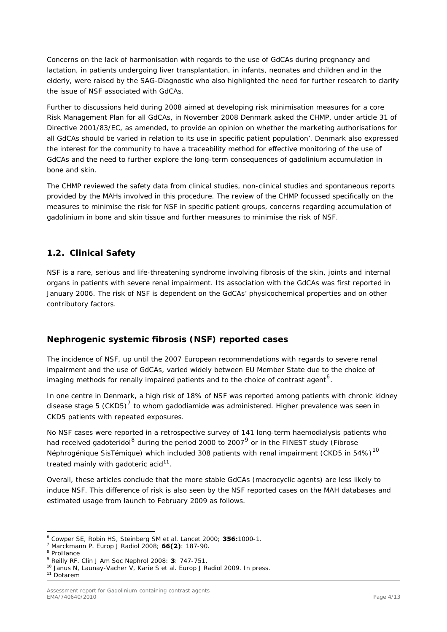Concerns on the lack of harmonisation with regards to the use of GdCAs during pregnancy and lactation, in patients undergoing liver transplantation, in infants, neonates and children and in the elderly, were raised by the SAG-Diagnostic who also highlighted the need for further research to clarify the issue of NSF associated with GdCAs.

Further to discussions held during 2008 aimed at developing risk minimisation measures for a core Risk Management Plan for all GdCAs, in November 2008 Denmark asked the CHMP, under article 31 of Directive 2001/83/EC, as amended, to provide an opinion on whether the marketing authorisations for all GdCAs should be varied in relation to its use in specific patient population'. Denmark also expressed the interest for the community to have a traceability method for effective monitoring of the use of GdCAs and the need to further explore the long-term consequences of gadolinium accumulation in bone and skin.

The CHMP reviewed the safety data from clinical studies, non-clinical studies and spontaneous reports provided by the MAHs involved in this procedure. The review of the CHMP focussed specifically on the measures to minimise the risk for NSF in specific patient groups, concerns regarding accumulation of gadolinium in bone and skin tissue and further measures to minimise the risk of NSF.

# <span id="page-3-0"></span>*1.2. Clinical Safety*

NSF is a rare, serious and life-threatening syndrome involving fibrosis of the skin, joints and internal organs in patients with severe renal impairment. Its association with the GdCAs was first reported in January 2006. The risk of NSF is dependent on the GdCAs' physicochemical properties and on other contributory factors.

## <span id="page-3-1"></span>*Nephrogenic systemic fibrosis (NSF) reported cases*

The incidence of NSF, up until the 2007 European recommendations with regards to severe renal impairment and the use of GdCAs, varied widely between EU Member State due to the choice of imaging methods for renally impaired patients and to the choice of contrast agent<sup>[6](#page-3-2)</sup>.

In one centre in Denmark, a high risk of 18% of NSF was reported among patients with chronic kidney disease stage 5 (CKD5)<sup>[7](#page-3-3)</sup> to whom gadodiamide was administered. Higher prevalence was seen in CKD5 patients with repeated exposures.

No NSF cases were reported in a retrospective survey of 141 long-term haemodialysis patients who had received gadoteridol<sup>[8](#page-3-4)</sup> during the period 2000 to 2007<sup>[9](#page-3-5)</sup> or in the FINEST study (Fibrose Néphrogénique SisTémique) which included 308 patients with renal impairment (CKD5 in 54%)<sup>[10](#page-3-6)</sup> treated mainly with gadoteric acid $11$ .

Overall, these articles conclude that the more stable GdCAs (macrocyclic agents) are less likely to induce NSF. This difference of risk is also seen by the NSF reported cases on the MAH databases and estimated usage from launch to February 2009 as follows.

ł

<span id="page-3-2"></span><sup>&</sup>lt;sup>6</sup> Cowper SE, Robin HS, Steinberg SM *et al. Lancet* 2000; **356:**1000-1.<br><sup>7</sup> Marckmann B, *Euren L Padiel* 2009; **66(2)**: 197, 90.

Marckmann P. *Europ J Radiol* 2008; **66(2)**: 187-90. 8

<span id="page-3-4"></span><span id="page-3-3"></span><sup>&</sup>lt;sup>8</sup> ProHance

<span id="page-3-5"></span><sup>&</sup>lt;sup>9</sup> Reilly RF. Clin J Am Soc Nephrol 2008: 3: 747-751.

<span id="page-3-6"></span><sup>&</sup>lt;sup>10</sup> Janus N, Launay-Vacher V, Karie S *et al. Europ J Radiol* 2009. In press.<br><sup>11</sup> Dotarem

<span id="page-3-7"></span>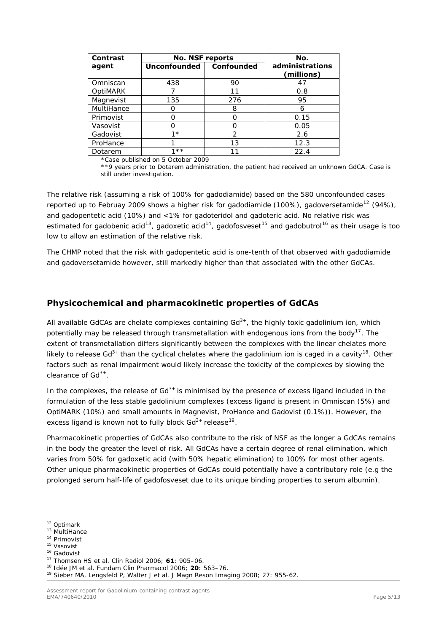| <b>Contrast</b> | <b>No. NSF reports</b> |                   | No.                           |
|-----------------|------------------------|-------------------|-------------------------------|
| agent           | <b>Unconfounded</b>    | <b>Confounded</b> | administrations<br>(millions) |
| Omniscan        | 438                    | 90                | 47                            |
| OptiMARK        |                        | 11                | 0.8                           |
| Magnevist       | 135                    | 276               | 95                            |
| MultiHance      |                        | 8                 | 6                             |
| Primovist       |                        | റ                 | 0.15                          |
| Vasovist        |                        | Ω                 | 0.05                          |
| Gadovist        | $1*$                   | $\mathcal{P}$     | 2.6                           |
| ProHance        |                        | 13                | 12.3                          |
| Dotarem         | $\star\star$           |                   | 22.4                          |

\*Case published on 5 October 2009

\*\*9 years prior to Dotarem administration, the patient had received an unknown GdCA. Case is still under investigation.

The relative risk (assuming a risk of 100% for gadodiamide) based on the 580 unconfounded cases reported up to Februay 2009 shows a higher risk for gadodiamide (100%), gadoversetamide<sup>[12](#page-4-1)</sup> (94%), and gadopentetic acid (10%) and <1% for gadoteridol and gadoteric acid. No relative risk was estimated for gadobenic acid<sup>[13](#page-4-2)</sup>, gadoxetic acid<sup>[14](#page-4-3)</sup>, gadofosveset<sup>[15](#page-4-4)</sup> and gadobutrol<sup>[16](#page-4-5)</sup> as their usage is too low to allow an estimation of the relative risk.

The CHMP noted that the risk with gadopentetic acid is one-tenth of that observed with gadodiamide and gadoversetamide however, still markedly higher than that associated with the other GdCAs.

## <span id="page-4-0"></span>*Physicochemical and pharmacokinetic properties of GdCAs*

All available GdCAs are chelate complexes containing  $Gd^{3+}$ , the highly toxic gadolinium ion, which potentially may be released through transmetallation with endogenous ions from the body<sup>[17](#page-4-6)</sup>. The extent of transmetallation differs significantly between the complexes with the linear chelates more likely to release Gd<sup>3+</sup> than the cyclical chelates where the gadolinium ion is caged in a cavity<sup>[18](#page-4-7)</sup>. Other factors such as renal impairment would likely increase the toxicity of the complexes by slowing the clearance of  $Gd^{3+}$ .

In the complexes, the release of  $Gd^{3+}$  is minimised by the presence of excess ligand included in the formulation of the less stable gadolinium complexes (excess ligand is present in Omniscan (5%) and OptiMARK (10%) and small amounts in Magnevist, ProHance and Gadovist (0.1%)). However, the excess ligand is known not to fully block  $Gd^{3+}$  release<sup>[19](#page-4-8)</sup>.

Pharmacokinetic properties of GdCAs also contribute to the risk of NSF as the longer a GdCAs remains in the body the greater the level of risk. All GdCAs have a certain degree of renal elimination, which varies from 50% for gadoxetic acid (with 50% hepatic elimination) to 100% for most other agents. Other unique pharmacokinetic properties of GdCAs could potentially have a contributory role (e.g the prolonged serum half-life of gadofosveset due to its unique binding properties to serum albumin).

<span id="page-4-1"></span><sup>&</sup>lt;sup>12</sup> Optimark

<span id="page-4-3"></span>

<span id="page-4-4"></span>

<span id="page-4-6"></span><span id="page-4-5"></span>

<span id="page-4-8"></span><span id="page-4-7"></span>

<span id="page-4-2"></span><sup>&</sup>lt;sup>13</sup> MultiHance<br>
<sup>14</sup> Primovist<br>
<sup>15</sup> Vasovist<br>
<sup>15</sup> Gadovist<br>
<sup>16</sup> Gadovist<br>
<sup>17</sup> Thomsen HS *et al. Clin Radiol* 2006; **61**: 905–06.<br>
<sup>18</sup> Idée JM et al. Fundam Clin Pharmacol 2006; **20**: 563–76.<br>
<sup>19</sup> Sieber MA, Lengsf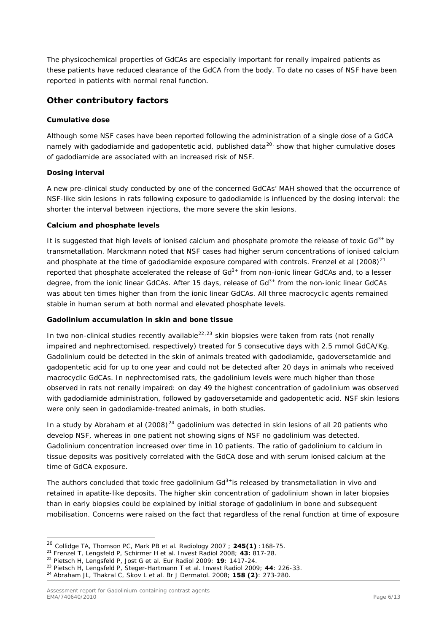The physicochemical properties of GdCAs are especially important for renally impaired patients as these patients have reduced clearance of the GdCA from the body. To date no cases of NSF have been reported in patients with normal renal function.

## <span id="page-5-0"></span>*Other contributory factors*

#### *Cumulative dose*

Although some NSF cases have been reported following the administration of a single dose of a GdCA namely with gadodiamide and gadopentetic acid, published data<sup>[20](#page-5-1),</sup> show that higher cumulative doses of gadodiamide are associated with an increased risk of NSF.

#### *Dosing interval*

A new pre-clinical study conducted by one of the concerned GdCAs' MAH showed that the occurrence of NSF-like skin lesions in rats following exposure to gadodiamide is influenced by the dosing interval: the shorter the interval between injections, the more severe the skin lesions.

#### *Calcium and phosphate levels*

It is suggested that high levels of ionised calcium and phosphate promote the release of toxic  $Gd^{3+}$  by transmetallation. Marckmann noted that NSF cases had higher serum concentrations of ionised ca lcium and phosphate at the time of gadodiamide exposure compared with controls. Frenzel et al (2008)<sup>[21](#page-5-2)</sup> reported that phosphate accelerated the release of  $Gd<sup>3+</sup>$  from non-ionic linear  $GdCAs$  and, to a lesser degree, from the ionic linear GdCAs. After 15 days, release of  $Gd<sup>3+</sup>$  from the non-ionic linear GdCAs was about ten times higher than from the ionic linear GdCAs. All three macrocyclic agents remained stable in human serum at both normal and elevated phosphate levels.

#### *Gadolinium accumulation in skin and bone tissue*

In two non-clinical studies recently available $^{22,23}$  $^{22,23}$  $^{22,23}$  $^{22,23}$  $^{22,23}$  skin biopsies were taken from rats (not renally impaired and nephrectomised, respectively) treated for 5 consecutive days with 2.5 mmol GdCA/Kg. Gadolinium could be detected in the skin of animals treated with gadodiamide, gadoversetamide and gadopentetic acid for up to one year and could not be detected after 20 days in animals who received macrocyclic GdCAs. In nephrectomised rats, the gadolinium levels were much higher than those observed in rats not renally impaired: on day 49 the highest concentration of gadolinium was observed with gadodiamide administration, followed by gadoversetamide and gadopentetic acid. NSF skin lesions were only seen in gadodiamide-treated animals, in both studies.

In a study by Abraham *et al* (2008)<sup>[24](#page-5-5)</sup> gadolinium was detected in skin lesions of all 20 patients who develop NSF, whereas in one patient not showing signs of NSF no gadolinium was detected. Gadolinium concentration increased over time in 10 patients. The ratio of gadolinium to calcium in tissue deposits was positively correlated with the GdCA dose and with serum ionised calcium at the time of GdCA exposure.

The authors concluded that toxic free gadolinium Gd<sup>3+</sup>is released by transmetallation *in vivo* and retained in apatite-like deposits. The higher skin concentration of gadolinium shown in later biopsies than in early biopsies could be explained by initial storage of gadolinium in bone and subsequent mobilisation. Concerns were raised on the fact that regardless of the renal function at time of exposure

ł

<span id="page-5-2"></span>

<span id="page-5-4"></span><span id="page-5-3"></span>

<span id="page-5-1"></span><sup>&</sup>lt;sup>20</sup> Collidge TA, Thomson PC, Mark PB *et al. Radiology* 2007 ; **245(1)** :168-75.<br><sup>21</sup> Frenzel T, Lengsfeld P, Schirmer H *et al. Invest Radiol* 2008; **43:** 817-28.<br><sup>22</sup> Pietsch H, Lengsfeld P, Jost G *et al. Eur Radiol* 2

<span id="page-5-5"></span>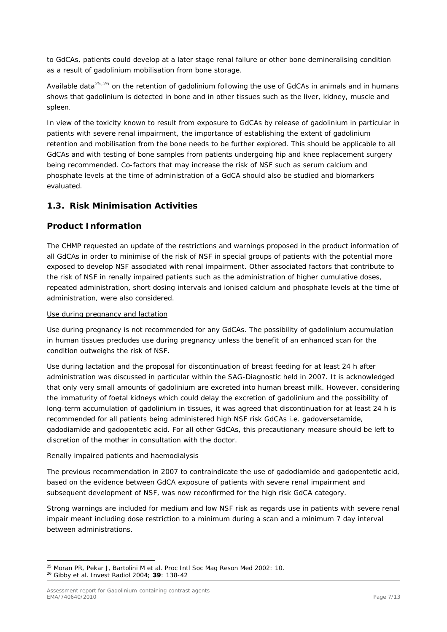to GdCAs, patients could develop at a later stage renal failure or other bone demineralising condition as a result of gadolinium mobilisation from bone storage.

Available data<sup>[25](#page-6-2),[26](#page-6-3)</sup> on the retention of gadolinium following the use of GdCAs in animals and in humans shows that gadolinium is detected in bone and in other tissues such as the liver, kidney, muscle and spleen.

In view of the toxicity known to result from exposure to GdCAs by release of gadolinium in particular in patients with severe renal impairment, the importance of establishing the extent of gadolinium retention and mobilisation from the bone needs to be further explored. This should be applicable to all GdCAs and with testing of bone samples from patients undergoing hip and knee replacement surgery being recommended. Co-factors that may increase the risk of NSF such as serum calcium and phosphate levels at the time of administration of a GdCA should also be studied and biomarkers evaluated.

# <span id="page-6-0"></span>*1.3. Risk Minimisation Activities*

## <span id="page-6-1"></span>*Product Information*

The CHMP requested an update of the restrictions and warnings proposed in the product information of all GdCAs in order to minimise of the risk of NSF in special groups of patients with the potential more exposed to develop NSF associated with renal impairment. Other associated factors that contribute to the risk of NSF in renally impaired patients such as the administration of higher cumulative doses, repeated administration, short dosing intervals and ionised calcium and phosphate levels at the time of administration, were also considered.

#### *Use during pregnancy and lactation*

Use during pregnancy is not recommended for any GdCAs. The possibility of gadolinium accumulation in human tissues precludes use during pregnancy unless the benefit of an enhanced scan for the condition outweighs the risk of NSF.

Use during lactation and the proposal for discontinuation of breast feeding for at least 24 h after administration was discussed in particular within the SAG-Diagnostic held in 2007. It is acknowledged that only very small amounts of gadolinium are excreted into human breast milk. However, considering the immaturity of foetal kidneys which could delay the excretion of gadolinium and the possibility of long-term accumulation of gadolinium in tissues, it was agreed that discontinuation for at least 24 h is recommended for all patients being administered high NSF risk GdCAs i.e. gadoversetamide, gadodiamide and gadopentetic acid. For all other GdCAs, this precautionary measure should be left to discretion of the mother in consultation with the doctor.

#### *Renally impaired patients and haemodialysis*

The previous recommendation in 2007 to contraindicate the use of gadodiamide and gadopentetic acid, based on the evidence between GdCA exposure of patients with severe renal impairment and subsequent development of NSF, was now reconfirmed for the high risk GdCA category.

Strong warnings are included for medium and low NSF risk as regards use in patients with severe renal impair meant including dose restriction to a minimum during a scan and a minimum 7 day interval between administrations.

<span id="page-6-3"></span><span id="page-6-2"></span>ł 25 Moran PR, Pekar J, Bartolini M *et al*. *Proc Intl Soc Mag Reson Med* 2002: 10. 26 Gibby *et al*. *Invest Radiol* 2004; **39**: 138-42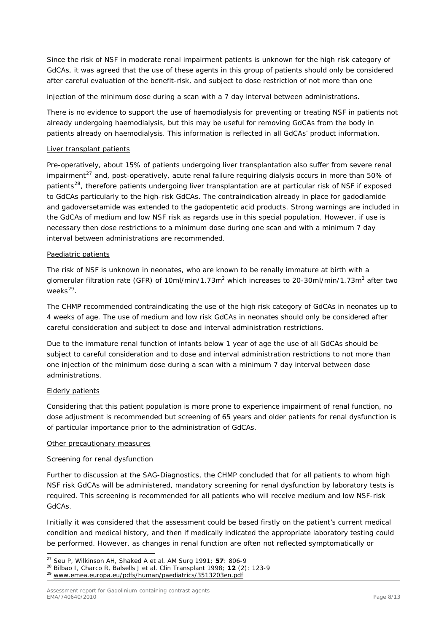Since the risk of NSF in moderate renal impairment patients is unknown for the high risk category of GdCAs, it was agreed that the use of these agents in this group of patients should only be considered after careful evaluation of the benefit-risk, and subject to dose restriction of not more than one

injection of the minimum dose during a scan with a 7 day interval between administrations.

There is no evidence to support the use of haemodialysis for preventing or treating NSF in patients not already undergoing haemodialysis, but this may be useful for removing GdCAs from the body in patients already on haemodialysis. This information is reflected in all GdCAs' product information.

#### *Liver transplant patients*

Pre-operatively, about 15% of patients undergoing liver transplantation also suffer from severe renal impairment<sup>[27](#page-7-0)</sup> and, post-operatively, acute renal failure requiring dialysis occurs in more than 50% of patients<sup>[28](#page-7-1)</sup>, therefore patients undergoing liver transplantation are at particular risk of NSF if exposed to GdCAs particularly to the high-risk GdCAs. The contraindication already in place for gadodiamide and gadoversetamide was extended to the gadopentetic acid products. Strong warnings are included in the GdCAs of medium and low NSF risk as regards use in this special population. However, if use is necessary then dose restrictions to a minimum dose during one scan and with a minimum 7 day interval between administrations are recommended.

#### *Paediatric patients*

The risk of NSF is unknown in neonates, who are known to be renally immature at birth with a glomerular filtration rate (GFR) of 10ml/min/1.73m<sup>2</sup> which increases to 20-30ml/min/1.73m<sup>2</sup> after two weeks $^{29}$  $^{29}$  $^{29}$ .

The CHMP recommended contraindicating the use of the high risk category of GdCAs in neonates up to 4 weeks of age. The use of medium and low risk GdCAs in neonates should only be considered after careful consideration and subject to dose and interval administration restrictions.

Due to the immature renal function of infants below 1 year of age the use of all GdCAs should be subject to careful consideration and to dose and interval administration restrictions to not more than one injection of the minimum dose during a scan with a minimum 7 day interval between dose administrations.

#### *Elderly patients*

Considering that this patient population is more prone to experience impairment of renal function, no dose adjustment is recommended but screening of 65 years and older patients for renal dysfunction is of particular importance prior to the administration of GdCAs.

#### *Other precautionary measures*

#### *Screening for renal dysfunction*

Further to discussion at the SAG-Diagnostics, the CHMP concluded that for all patients to whom high NSF risk GdCAs will be administered, mandatory screening for renal dysfunction by laboratory tests is required. This screening is recommended for all patients who will receive medium and low NSF-risk GdCAs.

Initially it was considered that the assessment could be based firstly on the patient's current medical condition and medical history, and then if medically indicated the appropriate laboratory testing could be performed. However, as changes in renal function are often not reflected symptomatically or

ł

<span id="page-7-1"></span><span id="page-7-0"></span><sup>&</sup>lt;sup>27</sup> Seu P, Wilkinson AH, Shaked A *et al. AM Surg* 1991; **57**: 806-9<br><sup>28</sup> Bilbao I, Charco R, Balsells J *et al. Clin Transplant* 1998; **12** (2): 123-9<br><sup>29</sup> [www.emea.europa.eu/pdfs/human/paediatrics/3513203en.pdf](http://www.emea.europa.eu/pdfs/human/paediatrics/3513203en.pdf)

<span id="page-7-2"></span>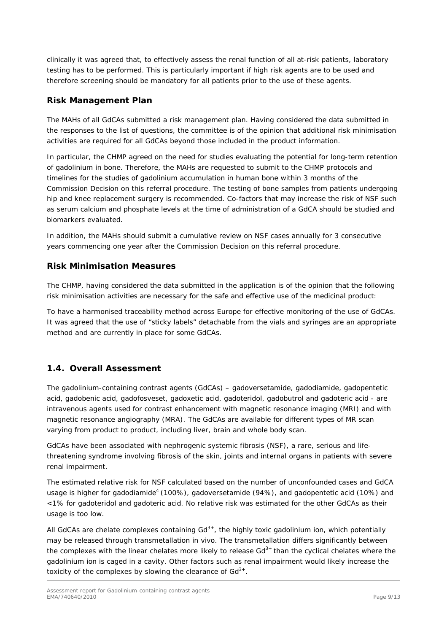clinically it was agreed that, to effectively assess the renal function of all at-risk patients, laboratory testing has to be performed. This is particularly important if high risk agents are to be used and therefore screening should be mandatory for all patients prior to the use of these agents.

# <span id="page-8-0"></span>*Risk Management Plan*

The MAHs of all GdCAs submitted a risk management plan. Having considered the data submitted in the responses to the list of questions, the committee is of the opinion that additional risk minimisation activities are required for all GdCAs beyond those included in the product information.

In particular, the CHMP agreed on the need for studies evaluating the potential for long-term retention of gadolinium in bone. Therefore, the MAHs are requested to submit to the CHMP protocols and timelines for the studies of gadolinium accumulation in human bone within 3 months of the Commission Decision on this referral procedure. The testing of bone samples from patients undergoing hip and knee replacement surgery is recommended. Co-factors that may increase the risk of NSF such as serum calcium and phosphate levels at the time of administration of a GdCA should be studied and biomarkers evaluated.

In addition, the MAHs should submit a cumulative review on NSF cases annually for 3 consecutive years commencing one year after the Commission Decision on this referral procedure.

# <span id="page-8-1"></span>*Risk Minimisation Measures*

The CHMP, having considered the data submitted in the application is of the opinion that the following risk minimisation activities are necessary for the safe and effective use of the medicinal product:

To have a harmonised traceability method across Europe for effective monitoring of the use of GdCAs. It was agreed that the use of "sticky labels" detachable from the vials and syringes are an appropriate method and are currently in place for some GdCAs.

# <span id="page-8-2"></span>*1.4. Overall Assessment*

The gadolinium-containing contrast agents (GdCAs) – gadoversetamide, gadodiamide, gadopentetic acid, gadobenic acid, gadofosveset, gadoxetic acid, gadoteridol, gadobutrol and gadoteric acid - are intravenous agents used for contrast enhancement with magnetic resonance imaging (MRI) and with magnetic resonance angiography (MRA). The GdCAs are available for different types of MR scan varying from product to product, including liver, brain and whole body scan.

GdCAs have been associated with nephrogenic systemic fibrosis (NSF), a rare, serious and lifethreatening syndrome involving fibrosis of the skin, joints and internal organs in patients with severe renal impairment.

The estimated relative risk for NSF calculated based on the number of unconfounded cases and GdCA usage is higher for gadodiamide<sup>[4](#page-2-7)</sup> (100%), gadoversetamide (94%), and gadopentetic acid (10%) and <1% for gadoteridol and gadoteric acid. No relative risk was estimated for the other GdCAs as their usage is too low.

All GdCAs are chelate complexes containing  $Gd^{3+}$ , the highly toxic gadolinium ion, which potentially may be released through transmetallation *in vivo*. The transmetallation differs significantly between the complexes with the linear chelates more likely to release  $Gd<sup>3+</sup>$  than the cyclical chelates where the gadolinium ion is caged in a cavity. Other factors such as renal impairment would likely increase the toxicity of the complexes by slowing the clearance of  $Gd^{3+}$ .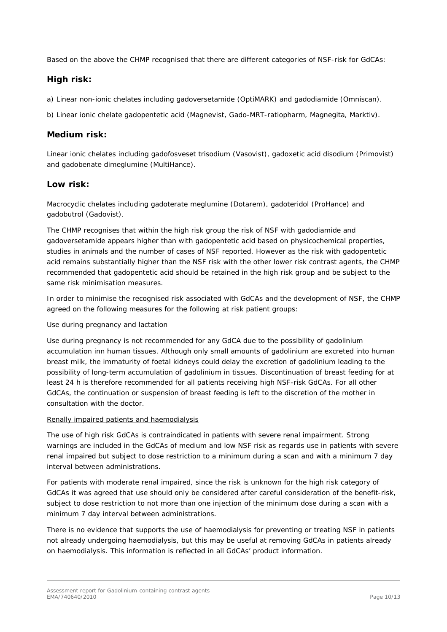Based on the above the CHMP recognised that there are different categories of NSF-risk for GdCAs:

# <span id="page-9-0"></span>*High risk:*

a) *Linear non-ionic chelates* including gadoversetamide (OptiMARK) and gadodiamide (Omniscan).

b) *Linear ionic chelate* gadopentetic acid (Magnevist, Gado-MRT-ratiopharm, Magnegita, Marktiv).

## <span id="page-9-1"></span>*Medium risk:*

*Linear ionic chelates* including gadofosveset trisodium (Vasovist), gadoxetic acid disodium (Primovist) and gadobenate dimeglumine (MultiHance).

## <span id="page-9-2"></span>*Low risk:*

*Macrocyclic chelates* including gadoterate meglumine (Dotarem), gadoteridol (ProHance) and gadobutrol (Gadovist).

The CHMP recognises that within the high risk group the risk of NSF with gadodiamide and gadoversetamide appears higher than with gadopentetic acid based on physicochemical properties, studies in animals and the number of cases of NSF reported. However as the risk with gadopentetic acid remains substantially higher than the NSF risk with the other lower risk contrast agents, the C HMP recommended that gadopentetic acid should be retained in the high risk group and be subject to the same risk minimisation measures.

In order to minimise the recognised risk associated with GdCAs and the development of NSF, the CHMP agreed on the following measures for the following at risk patient groups:

#### *Use during pregnancy and lactation*

Use during pregnancy is not recommended for any GdCA due to the possibility of gadolinium accumulation inn human tissues. Although only small amounts of gadolinium are excreted into human breast milk, the immaturity of foetal kidneys could delay the excretion of gadolinium leading to the possibility of long-term accumulation of gadolinium in tissues. Discontinuation of breast feeding for at least 24 h is therefore recommended for all patients receiving high NSF-risk GdCAs. For all other GdCAs, the continuation or suspension of breast feeding is left to the discretion of the mother in consultation with the doctor.

#### *Renally impaired patients and haemodialysis*

The use of high risk GdCAs is contraindicated in patients with severe renal impairment. Strong warnings are included in the GdCAs of medium and low NSF risk as regards use in patients with severe renal impaired but subject to dose restriction to a minimum during a scan and with a minimum 7 day interval between administrations.

For patients with moderate renal impaired, since the risk is unknown for the high risk category of GdCAs it was agreed that use should only be considered after careful consideration of the benefit-risk, subject to dose restriction to not more than one injection of the minimum dose during a scan with a minimum 7 day interval between administrations.

There is no evidence that supports the use of haemodialysis for preventing or treating NSF in patients not already undergoing haemodialysis, but this may be useful at removing GdCAs in patients already on haemodialysis. This information is reflected in all GdCAs' product information.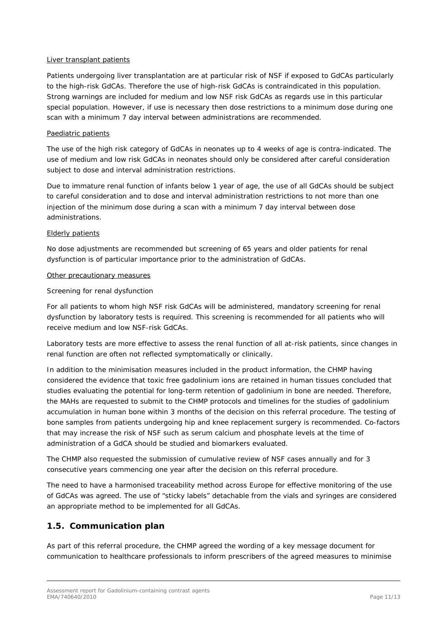#### *Liver transplant patients*

Patients undergoing liver transplantation are at particular risk of NSF if exposed to GdCAs particularly to the high-risk GdCAs. Therefore the use of high-risk GdCAs is contraindicated in this population. Strong warnings are included for medium and low NSF risk GdCAs as regards use in this particular special population. However, if use is necessary then dose restrictions to a minimum dose during one scan with a minimum 7 day interval between administrations are recommended.

#### *Paediatric patients*

The use of the high risk category of GdCAs in neonates up to 4 weeks of age is contra-indicated. The use of medium and low risk GdCAs in neonates should only be considered after careful consideration subject to dose and interval administration restrictions.

Due to immature renal function of infants below 1 year of age, the use of all GdCAs should be subject to careful consideration and to dose and interval administration restrictions to not more than one injection of the minimum dose during a scan with a minimum 7 day interval between dose administrations.

#### *Elderly patients*

No dose adjustments are recommended but screening of 65 years and older patients for renal dysfunction is of particular importance prior to the administration of GdCAs.

#### *Other precautionary measures*

#### *Screening for renal dysfunction*

For all patients to whom high NSF risk GdCAs will be administered, mandatory screening for renal dysfunction by laboratory tests is required. This screening is recommended for all patients who will receive medium and low NSF-risk GdCAs.

Laboratory tests are more effective to assess the renal function of all at-risk patients, since changes in renal function are often not reflected symptomatically or clinically.

In addition to the minimisation measures included in the product information, the CHMP having considered the evidence that toxic free gadolinium ions are retained in human tissues concluded that studies evaluating the potential for long-term retention of gadolinium in bone are needed. Therefore, the MAHs are requested to submit to the CHMP protocols and timelines for the studies of gadolinium accumulation in human bone within 3 months of the decision on this referral procedure. The testing of bone samples from patients undergoing hip and knee replacement surgery is recommended. Co-factors that may increase the risk of NSF such as serum calcium and phosphate levels at the time of administration of a GdCA should be studied and biomarkers evaluated.

The CHMP also requested the submission of cumulative review of NSF cases annually and for 3 consecutive years commencing one year after the decision on this referral procedure.

The need to have a harmonised traceability method across Europe for effective monitoring of the use of GdCAs was agreed. The use of "sticky labels" detachable from the vials and syringes are considered an appropriate method to be implemented for all GdCAs.

# <span id="page-10-0"></span>*1.5. Communication plan*

As part of this referral procedure, the CHMP agreed the wording of a key message document for communication to healthcare professionals to inform prescribers of the agreed measures to minimise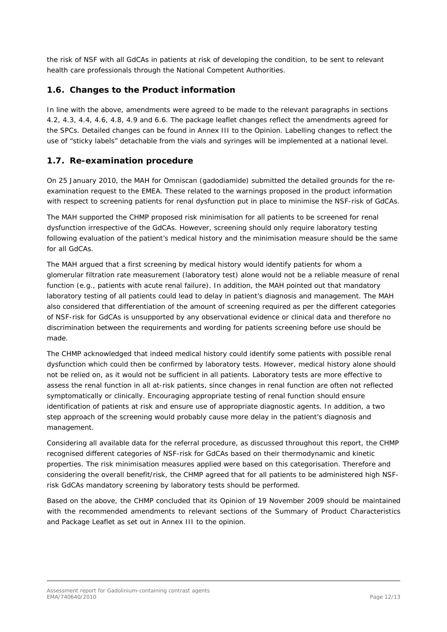the risk of NSF with all GdCAs in patients at risk of developing the condition, to be sent to relevant health care professionals through the National Competent Authorities.

# <span id="page-11-0"></span>*1.6. Changes to the Product information*

In line with the above, amendments were agreed to be made to the relevant paragraphs in sections 4.2, 4.3, 4.4, 4.6, 4.8, 4.9 and 6.6. The package leaflet changes reflect the amendments agreed for the SPCs. Detailed changes can be found in Annex III to the Opinion. Labelling changes to reflect the use of "sticky labels" detachable from the vials and syringes will be implemented at a national level.

## <span id="page-11-1"></span>*1.7. Re-examination procedure*

On 25 January 2010, the MAH for Omniscan (gadodiamide) submitted the detailed grounds for the reexamination request to the EMEA. These related to the warnings proposed in the product information with respect to screening patients for renal dysfunction put in place to minimise the NSF-risk of GdCAs.

The MAH supported the CHMP proposed risk minimisation for all patients to be screened for renal dysfunction irrespective of the GdCAs. However, screening should only require laboratory testing following evaluation of the patient's medical history and the minimisation measure should be the same for all GdCAs.

The MAH argued that a first screening by medical history would identify patients for whom a glomerular filtration rate measurement (laboratory test) alone would not be a reliable measure of renal function (e.g., patients with acute renal failure). In addition, the MAH pointed out that mandatory laboratory testing of all patients could lead to delay in patient's diagnosis and management. The MAH also considered that differentiation of the amount of screening required *as per* the different categories of NSF-risk for GdCAs is unsupported by any observational evidence or clinical data and therefore no discrimination between the requirements and wording for patients screening before use should be made.

The CHMP acknowledged that indeed medical history could identify some patients with possible renal dysfunction which could then be confirmed by laboratory tests. However, medical history alone should not be relied on, as it would not be sufficient in all patients. Laboratory tests are more effective to assess the renal function in all at-risk patients, since changes in renal function are often not reflected symptomatically or clinically. Encouraging appropriate testing of renal function should ensure identification of patients at risk and ensure use of appropriate diagnostic agents. In addition, a two step approach of the screening would probably cause more delay in the patient's diagnosis and management.

Considering all available data for the referral procedure, as discussed throughout this report, the CHMP recognised different categories of NSF-risk for GdCAs based on their thermodynamic and kinetic properties. The risk minimisation measures applied were based on this categorisation. Therefore and considering the overall benefit/risk, the CHMP agreed that for all patients to be administered high NSFrisk GdCAs mandatory screening by laboratory tests should be performed.

Based on the above, the CHMP concluded that its Opinion of 19 November 2009 should be maintained with the recommended amendments to relevant sections of the Summary of Product Characteristics and Package Leaflet as set out in Annex III to the opinion.